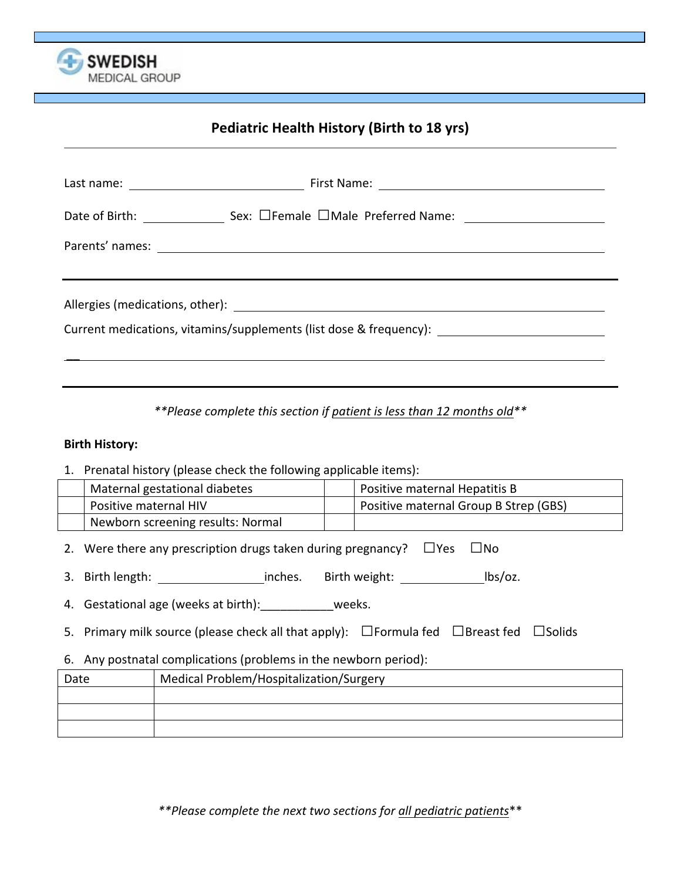

# **Pediatric Health History (Birth to 18 yrs)**

| Current medications, vitamins/supplements (list dose & frequency): _________________________________ |  |  |  |  |
|------------------------------------------------------------------------------------------------------|--|--|--|--|

*\*\*Please'complete'this'section'if'patient'is'less'than'12'months'old\*\**

#### **Birth History:**

1. Prenatal history (please check the following applicable items):

| Maternal gestational diabetes     | Positive maternal Hepatitis B         |
|-----------------------------------|---------------------------------------|
| Positive maternal HIV             | Positive maternal Group B Strep (GBS) |
| Newborn screening results: Normal |                                       |
|                                   |                                       |

- 2. Were there any prescription drugs taken during pregnancy?  $\Box$ Yes  $\Box$ No
- 3. Birth length: inches. Birth weight: \_\_\_\_\_\_\_\_\_\_\_\_\_\_ lbs/oz.
- 4. Gestational age (weeks at birth): \_\_\_\_\_\_\_\_\_\_\_\_weeks.
- 5. Primary milk source (please check all that apply):  $\Box$  Formula fed  $\Box$  Breast fed  $\Box$  Solids
- 6. Any postnatal complications (problems in the newborn period):

| Date | Medical Problem/Hospitalization/Surgery |  |  |  |
|------|-----------------------------------------|--|--|--|
|      |                                         |  |  |  |
|      |                                         |  |  |  |
|      |                                         |  |  |  |

*\*\*Please'complete'the'next'two'sections'for'all'pediatric'patients*\*\*